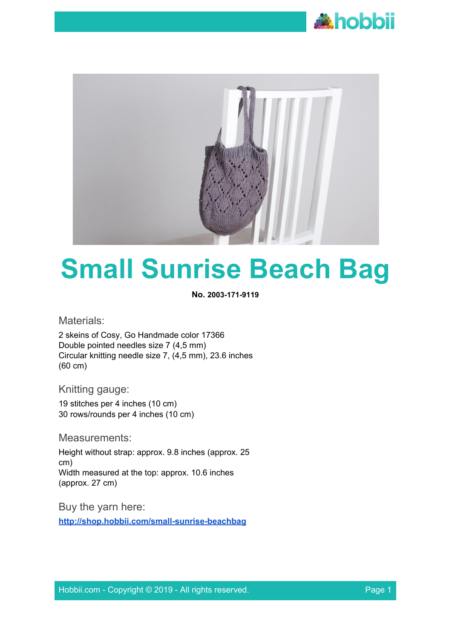



# **Small Sunrise Beach Bag**

**No. 2003-171-9119**

Materials:

2 skeins of Cosy, Go Handmade color 17366 Double pointed needles size 7 (4,5 mm) Circular knitting needle size 7, (4,5 mm), 23.6 inches (60 cm)

Knitting gauge:

19 stitches per 4 inches (10 cm) 30 rows/rounds per 4 inches (10 cm)

Measurements:

Height without strap: approx. 9.8 inches (approx. 25 cm) Width measured at the top: approx. 10.6 inches (approx. 27 cm)

Buy the yarn here: **<http://shop.hobbii.com/small-sunrise-beachbag>**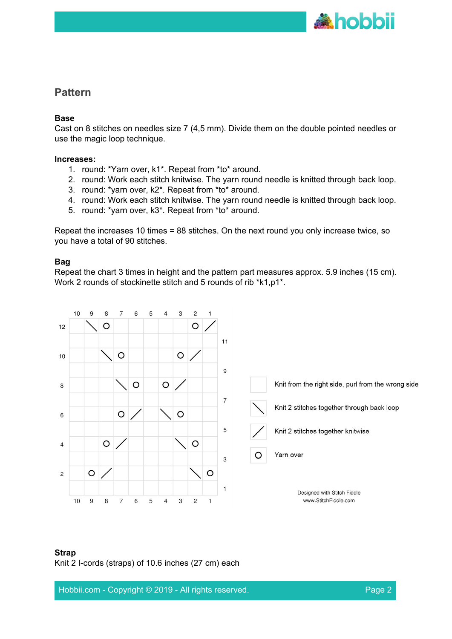

## **Pattern**

#### **Base**

Cast on 8 stitches on needles size 7 (4,5 mm). Divide them on the double pointed needles or use the magic loop technique.

#### **Increases:**

- 1. round: \*Yarn over, k1\*. Repeat from \*to\* around.
- 2. round: Work each stitch knitwise. The yarn round needle is knitted through back loop.
- 3. round: \*yarn over, k2\*. Repeat from \*to\* around.
- 4. round: Work each stitch knitwise. The yarn round needle is knitted through back loop.
- 5. round: \*yarn over, k3\*. Repeat from \*to\* around.

Repeat the increases 10 times = 88 stitches. On the next round you only increase twice, so you have a total of 90 stitches.

### **Bag**

Repeat the chart 3 times in height and the pattern part measures approx. 5.9 inches (15 cm). Work 2 rounds of stockinette stitch and 5 rounds of rib \*k1,p1\*.



#### **Strap**

Knit 2 I-cords (straps) of 10.6 inches (27 cm) each

Hobbii.com - Copyright © 2019 - All rights reserved. Page 2